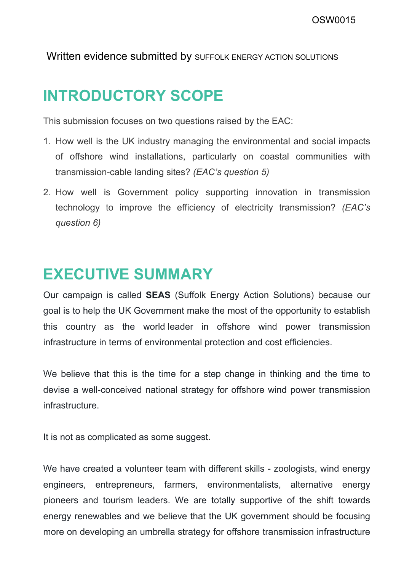#### Written evidence submitted by SUFFOLK ENERGY ACTION SOLUTIONS

## **INTRODUCTORY SCOPE**

This submission focuses on two questions raised by the EAC:

- 1. How well is the UK industry managing the environmental and social impacts of offshore wind installations, particularly on coastal communities with transmission-cable landing sites? *(EAC's question 5)*
- 2. How well is Government policy supporting innovation in transmission technology to improve the efficiency of electricity transmission? *(EAC's question 6)*

## **EXECUTIVE SUMMARY**

Our campaign is called **SEAS** (Suffolk Energy Action Solutions) because our goal is to help the UK Government make the most of the opportunity to establish this country as the world leader in offshore wind power transmission infrastructure in terms of environmental protection and cost efficiencies.

We believe that this is the time for a step change in thinking and the time to devise a well-conceived national strategy for offshore wind power transmission infrastructure.

It is not as complicated as some suggest.

We have created a volunteer team with different skills - zoologists, wind energy engineers, entrepreneurs, farmers, environmentalists, alternative energy pioneers and tourism leaders. We are totally supportive of the shift towards energy renewables and we believe that the UK government should be focusing more on developing an umbrella strategy for offshore transmission infrastructure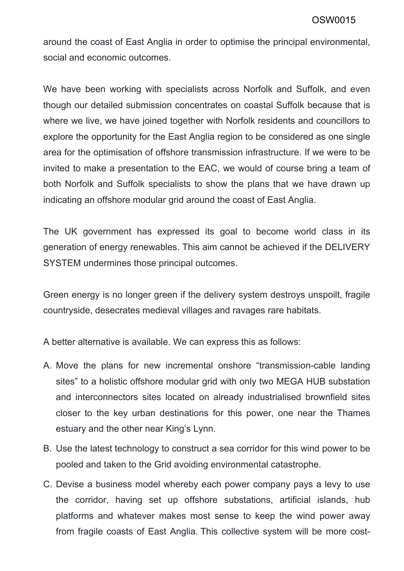around the coast of East Anglia in order to optimise the principal environmental, social and economic outcomes.

We have been working with specialists across Norfolk and Suffolk, and even though our detailed submission concentrates on coastal Suffolk because that is where we live, we have joined together with Norfolk residents and councillors to explore the opportunity for the East Anglia region to be considered as one single area for the optimisation of offshore transmission infrastructure. If we were to be invited to make a presentation to the EAC, we would of course bring a team of both Norfolk and Suffolk specialists to show the plans that we have drawn up indicating an offshore modular grid around the coast of East Anglia.

The UK government has expressed its goal to become world class in its generation of energy renewables. This aim cannot be achieved if the DELIVERY SYSTEM undermines those principal outcomes.

Green energy is no longer green if the delivery system destroys unspoilt, fragile countryside, desecrates medieval villages and ravages rare habitats.

A better alternative is available. We can express this as follows:

- A. Move the plans for new incremental onshore "transmission-cable landing sites" to a holistic offshore modular grid with only two MEGA HUB substation and interconnectors sites located on already industrialised brownfield sites closer to the key urban destinations for this power, one near the Thames estuary and the other near King's Lynn.
- B. Use the latest technology to construct a sea corridor for this wind power to be pooled and taken to the Grid avoiding environmental catastrophe.
- C. Devise a business model whereby each power company pays a levy to use the corridor, having set up offshore substations, artificial islands, hub platforms and whatever makes most sense to keep the wind power away from fragile coasts of East Anglia. This collective system will be more cost-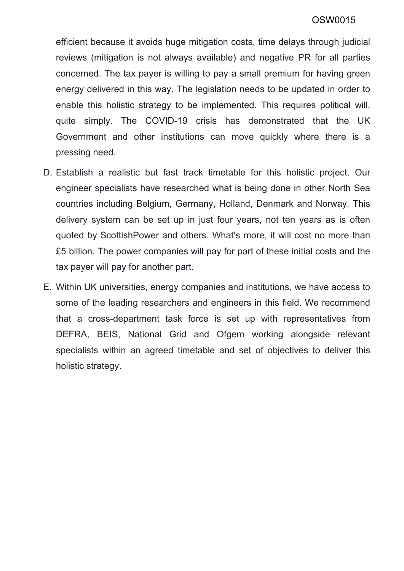efficient because it avoids huge mitigation costs, time delays through judicial reviews (mitigation is not always available) and negative PR for all parties concerned. The tax payer is willing to pay a small premium for having green energy delivered in this way. The legislation needs to be updated in order to enable this holistic strategy to be implemented. This requires political will, quite simply. The COVID-19 crisis has demonstrated that the UK Government and other institutions can move quickly where there is a pressing need.

- D. Establish a realistic but fast track timetable for this holistic project. Our engineer specialists have researched what is being done in other North Sea countries including Belgium, Germany, Holland, Denmark and Norway. This delivery system can be set up in just four years, not ten years as is often quoted by ScottishPower and others. What's more, it will cost no more than £5 billion. The power companies will pay for part of these initial costs and the tax payer will pay for another part.
- E. Within UK universities, energy companies and institutions, we have access to some of the leading researchers and engineers in this field. We recommend that a cross-department task force is set up with representatives from DEFRA, BEIS, National Grid and Ofgem working alongside relevant specialists within an agreed timetable and set of objectives to deliver this holistic strategy.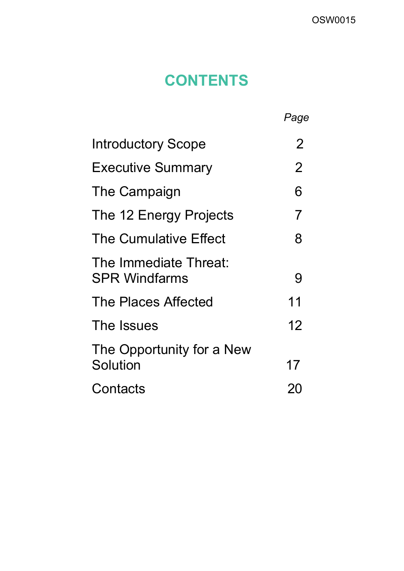## **CONTENTS**

|                                               | Page           |
|-----------------------------------------------|----------------|
| <b>Introductory Scope</b>                     | $\overline{2}$ |
| <b>Executive Summary</b>                      | $\overline{2}$ |
| The Campaign                                  | 6              |
| The 12 Energy Projects                        | 7              |
| <b>The Cumulative Effect</b>                  | 8              |
| The Immediate Threat:<br><b>SPR Windfarms</b> | 9              |
| The Places Affected                           | 11             |
| The Issues                                    | 12             |
| The Opportunity for a New<br>Solution         | 17             |
| Contacts                                      | 20             |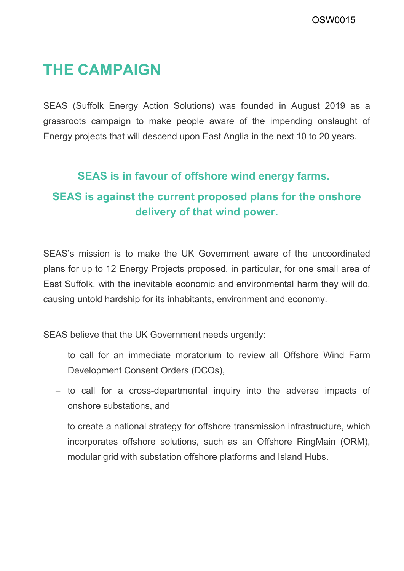## **THE CAMPAIGN**

SEAS (Suffolk Energy Action Solutions) was founded in August 2019 as a grassroots campaign to make people aware of the impending onslaught of Energy projects that will descend upon East Anglia in the next 10 to 20 years.

#### **SEAS is in favour of offshore wind energy farms.**

#### **SEAS is against the current proposed plans for the onshore delivery of that wind power.**

SEAS's mission is to make the UK Government aware of the uncoordinated plans for up to 12 Energy Projects proposed, in particular, for one small area of East Suffolk, with the inevitable economic and environmental harm they will do, causing untold hardship for its inhabitants, environment and economy.

SEAS believe that the UK Government needs urgently:

- to call for an immediate moratorium to review all Offshore Wind Farm Development Consent Orders (DCOs),
- to call for a cross-departmental inquiry into the adverse impacts of onshore substations, and
- $-$  to create a national strategy for offshore transmission infrastructure, which incorporates offshore solutions, such as an Offshore RingMain (ORM), modular grid with substation offshore platforms and Island Hubs.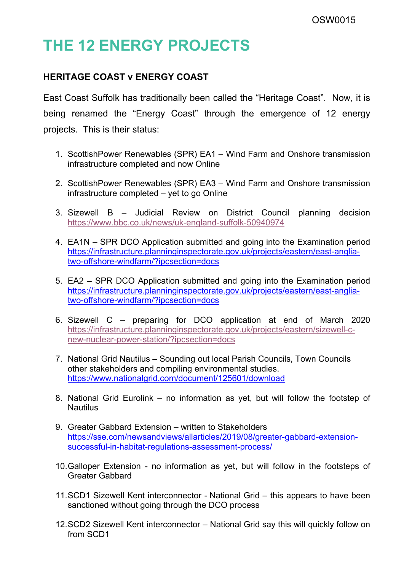## **THE 12 ENERGY PROJECTS**

#### **HERITAGE COAST v ENERGY COAST**

East Coast Suffolk has traditionally been called the "Heritage Coast". Now, it is being renamed the "Energy Coast" through the emergence of 12 energy projects. This is their status:

- 1. ScottishPower Renewables (SPR) EA1 Wind Farm and Onshore transmission infrastructure completed and now Online
- 2. ScottishPower Renewables (SPR) EA3 Wind Farm and Onshore transmission infrastructure completed – yet to go Online
- 3. Sizewell B Judicial Review on District Council planning decision <https://www.bbc.co.uk/news/uk-england-suffolk-50940974>
- 4. EA1N SPR DCO Application submitted and going into the Examination period [https://infrastructure.planninginspectorate.gov.uk/projects/eastern/east-anglia](https://infrastructure.planninginspectorate.gov.uk/projects/eastern/east-anglia-two-offshore-windfarm/?ipcsection=docs)[two-offshore-windfarm/?ipcsection=docs](https://infrastructure.planninginspectorate.gov.uk/projects/eastern/east-anglia-two-offshore-windfarm/?ipcsection=docs)
- 5. EA2 SPR DCO Application submitted and going into the Examination period [https://infrastructure.planninginspectorate.gov.uk/projects/eastern/east-anglia](https://infrastructure.planninginspectorate.gov.uk/projects/eastern/east-anglia-two-offshore-windfarm/?ipcsection=docs)[two-offshore-windfarm/?ipcsection=docs](https://infrastructure.planninginspectorate.gov.uk/projects/eastern/east-anglia-two-offshore-windfarm/?ipcsection=docs)
- 6. Sizewell C preparing for DCO application at end of March 2020 [https://infrastructure.planninginspectorate.gov.uk/projects/eastern/sizewell-c](https://infrastructure.planninginspectorate.gov.uk/projects/eastern/sizewell-c-new-nuclear-power-station/?ipcsection=docs)[new-nuclear-power-station/?ipcsection=docs](https://infrastructure.planninginspectorate.gov.uk/projects/eastern/sizewell-c-new-nuclear-power-station/?ipcsection=docs)
- 7. National Grid Nautilus Sounding out local Parish Councils, Town Councils other stakeholders and compiling environmental studies. <https://www.nationalgrid.com/document/125601/download>
- 8. National Grid Eurolink no information as yet, but will follow the footstep of Nautilus
- 9. Greater Gabbard Extension written to Stakeholders [https://sse.com/newsandviews/allarticles/2019/08/greater-gabbard-extension](https://sse.com/newsandviews/allarticles/2019/08/greater-gabbard-extension-successful-in-habitat-regulations-assessment-process/)[successful-in-habitat-regulations-assessment-process/](https://sse.com/newsandviews/allarticles/2019/08/greater-gabbard-extension-successful-in-habitat-regulations-assessment-process/)
- 10.Galloper Extension no information as yet, but will follow in the footsteps of Greater Gabbard
- 11.SCD1 Sizewell Kent interconnector National Grid this appears to have been sanctioned without going through the DCO process
- 12.SCD2 Sizewell Kent interconnector National Grid say this will quickly follow on from SCD1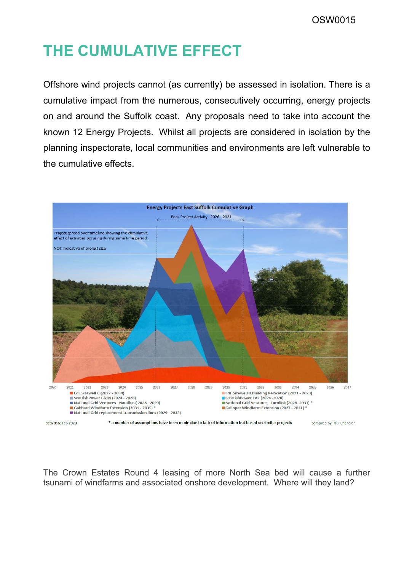## **THE CUMULATIVE EFFECT**

Offshore wind projects cannot (as currently) be assessed in isolation. There is a cumulative impact from the numerous, consecutively occurring, energy projects on and around the Suffolk coast. Any proposals need to take into account the known 12 Energy Projects. Whilst all projects are considered in isolation by the planning inspectorate, local communities and environments are left vulnerable to the cumulative effects.



The Crown Estates Round 4 leasing of more North Sea bed will cause a further tsunami of windfarms and associated onshore development. Where will they land?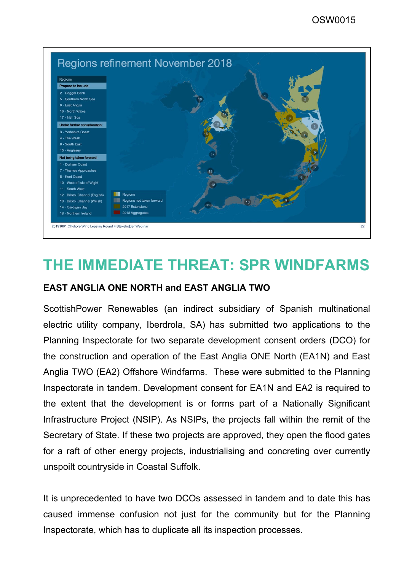

## **THE IMMEDIATE THREAT: SPR WINDFARMS**

#### **EAST ANGLIA ONE NORTH and EAST ANGLIA TWO**

ScottishPower Renewables (an indirect subsidiary of Spanish multinational electric utility company, Iberdrola, SA) has submitted two applications to the Planning Inspectorate for two separate development consent orders (DCO) for the construction and operation of the East Anglia ONE North (EA1N) and East Anglia TWO (EA2) Offshore Windfarms. These were submitted to the Planning Inspectorate in tandem. Development consent for EA1N and EA2 is required to the extent that the development is or forms part of a Nationally Significant Infrastructure Project (NSIP). As NSIPs, the projects fall within the remit of the Secretary of State. If these two projects are approved, they open the flood gates for a raft of other energy projects, industrialising and concreting over currently unspoilt countryside in Coastal Suffolk.

It is unprecedented to have two DCOs assessed in tandem and to date this has caused immense confusion not just for the community but for the Planning Inspectorate, which has to duplicate all its inspection processes.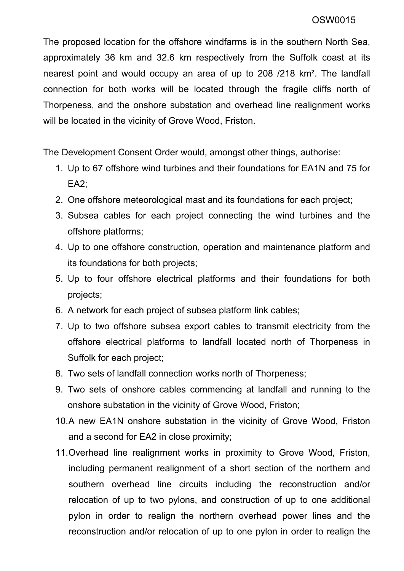The proposed location for the offshore windfarms is in the southern North Sea, approximately 36 km and 32.6 km respectively from the Suffolk coast at its nearest point and would occupy an area of up to 208 /218 km². The landfall connection for both works will be located through the fragile cliffs north of Thorpeness, and the onshore substation and overhead line realignment works will be located in the vicinity of Grove Wood, Friston.

The Development Consent Order would, amongst other things, authorise:

- 1. Up to 67 offshore wind turbines and their foundations for EA1N and 75 for EA2;
- 2. One offshore meteorological mast and its foundations for each project;
- 3. Subsea cables for each project connecting the wind turbines and the offshore platforms;
- 4. Up to one offshore construction, operation and maintenance platform and its foundations for both projects;
- 5. Up to four offshore electrical platforms and their foundations for both projects;
- 6. A network for each project of subsea platform link cables;
- 7. Up to two offshore subsea export cables to transmit electricity from the offshore electrical platforms to landfall located north of Thorpeness in Suffolk for each project;
- 8. Two sets of landfall connection works north of Thorpeness;
- 9. Two sets of onshore cables commencing at landfall and running to the onshore substation in the vicinity of Grove Wood, Friston;
- 10.A new EA1N onshore substation in the vicinity of Grove Wood, Friston and a second for EA2 in close proximity;
- 11.Overhead line realignment works in proximity to Grove Wood, Friston, including permanent realignment of a short section of the northern and southern overhead line circuits including the reconstruction and/or relocation of up to two pylons, and construction of up to one additional pylon in order to realign the northern overhead power lines and the reconstruction and/or relocation of up to one pylon in order to realign the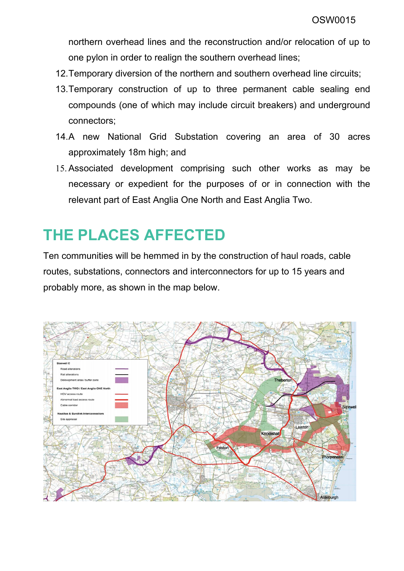northern overhead lines and the reconstruction and/or relocation of up to one pylon in order to realign the southern overhead lines;

- 12.Temporary diversion of the northern and southern overhead line circuits;
- 13.Temporary construction of up to three permanent cable sealing end compounds (one of which may include circuit breakers) and underground connectors;
- 14.A new National Grid Substation covering an area of 30 acres approximately 18m high; and
- 15. Associated development comprising such other works as may be necessary or expedient for the purposes of or in connection with the relevant part of East Anglia One North and East Anglia Two.

## **THE PLACES AFFECTED**

Ten communities will be hemmed in by the construction of haul roads, cable routes, substations, connectors and interconnectors for up to 15 years and probably more, as shown in the map below.

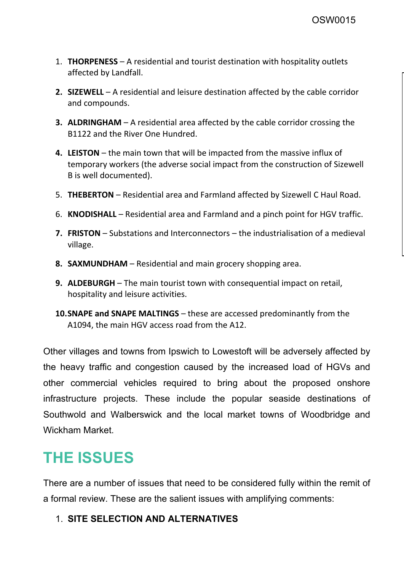- 1. **THORPENESS** A residential and tourist destination with hospitality outlets affected by Landfall.
- **2. SIZEWELL** A residential and leisure destination affected by the cable corridor and compounds.
- **3. ALDRINGHAM** A residential area affected by the cable corridor crossing the B1122 and the River One Hundred.
- **4. LEISTON** the main town that will be impacted from the massive influx of temporary workers (the adverse social impact from the construction of Sizewell B is well documented).
- 5. **THEBERTON** Residential area and Farmland affected by Sizewell C Haul Road.
- 6. **KNODISHALL** Residential area and Farmland and a pinch point for HGV traffic.
- **7. FRISTON** Substations and Interconnectors the industrialisation of a medieval village.
- **8. SAXMUNDHAM** Residential and main grocery shopping area.
- **9. ALDEBURGH** The main tourist town with consequential impact on retail, hospitality and leisure activities.
- **10.SNAPE and SNAPE MALTINGS** these are accessed predominantly from the A1094, the main HGV access road from the A12.

Other villages and towns from Ipswich to Lowestoft will be adversely affected by the heavy traffic and congestion caused by the increased load of HGVs and other commercial vehicles required to bring about the proposed onshore infrastructure projects. These include the popular seaside destinations of Southwold and Walberswick and the local market towns of Woodbridge and Wickham Market.

## **THE ISSUES**

There are a number of issues that need to be considered fully within the remit of a formal review. These are the salient issues with amplifying comments:

#### 1. **SITE SELECTION AND ALTERNATIVES**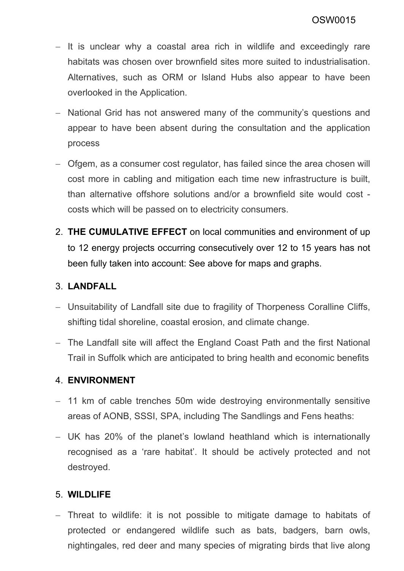- $-$  It is unclear why a coastal area rich in wildlife and exceedingly rare habitats was chosen over brownfield sites more suited to industrialisation. Alternatives, such as ORM or Island Hubs also appear to have been overlooked in the Application.
- National Grid has not answered many of the community's questions and appear to have been absent during the consultation and the application process
- Ofgem, as a consumer cost regulator, has failed since the area chosen will cost more in cabling and mitigation each time new infrastructure is built, than alternative offshore solutions and/or a brownfield site would cost costs which will be passed on to electricity consumers.
- 2. **THE CUMULATIVE EFFECT** on local communities and environment of up to 12 energy projects occurring consecutively over 12 to 15 years has not been fully taken into account: See above for maps and graphs.

#### 3. **LANDFALL**

- Unsuitability of Landfall site due to fragility of Thorpeness Coralline Cliffs, shifting tidal shoreline, coastal erosion, and climate change.
- The Landfall site will affect the England Coast Path and the first National Trail in Suffolk which are anticipated to bring health and economic benefits

#### 4. **ENVIRONMENT**

- 11 km of cable trenches 50m wide destroying environmentally sensitive areas of AONB, SSSI, SPA, including The Sandlings and Fens heaths:
- UK has 20% of the planet's lowland heathland which is internationally recognised as a 'rare habitat'. It should be actively protected and not destroyed.

#### 5. **WILDLIFE**

 Threat to wildlife: it is not possible to mitigate damage to habitats of protected or endangered wildlife such as bats, badgers, barn owls, nightingales, red deer and many species of migrating birds that live along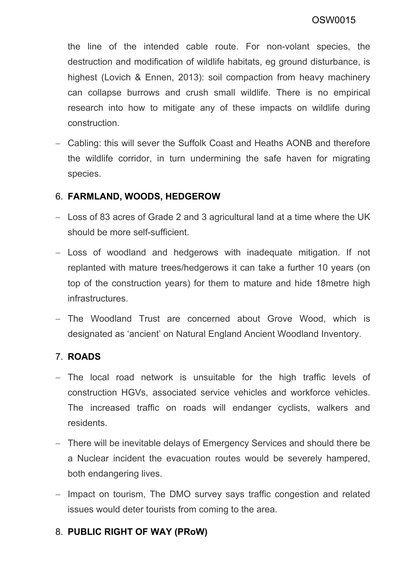the line of the intended cable route. For non-volant species, the destruction and modification of wildlife habitats, eg ground disturbance, is highest (Lovich & Ennen, 2013): soil compaction from heavy machinery can collapse burrows and crush small wildlife. There is no empirical research into how to mitigate any of these impacts on wildlife during construction.

 Cabling: this will sever the Suffolk Coast and Heaths AONB and therefore the wildlife corridor, in turn undermining the safe haven for migrating species.

#### 6. **FARMLAND, WOODS, HEDGEROW**

- Loss of 83 acres of Grade 2 and 3 agricultural land at a time where the UK should be more self-sufficient.
- Loss of woodland and hedgerows with inadequate mitigation. If not replanted with mature trees/hedgerows it can take a further 10 years (on top of the construction years) for them to mature and hide 18metre high infrastructures.
- The Woodland Trust are concerned about Grove Wood, which is designated as 'ancient' on Natural England Ancient Woodland Inventory.

#### 7. **ROADS**

- The local road network is unsuitable for the high traffic levels of construction HGVs, associated service vehicles and workforce vehicles. The increased traffic on roads will endanger cyclists, walkers and residents.
- There will be inevitable delays of Emergency Services and should there be a Nuclear incident the evacuation routes would be severely hampered, both endangering lives.
- Impact on tourism, The DMO survey says traffic congestion and related issues would deter tourists from coming to the area.

#### 8. **PUBLIC RIGHT OF WAY (PRoW)**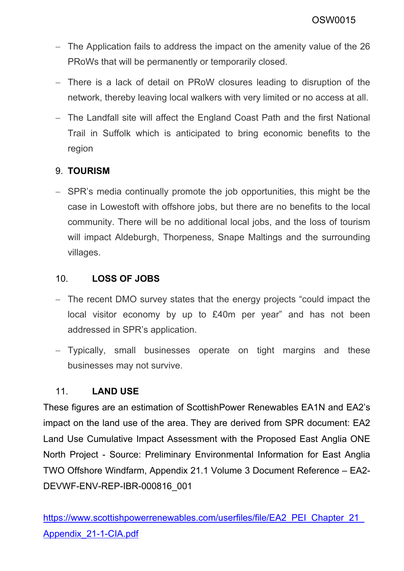- The Application fails to address the impact on the amenity value of the 26 PRoWs that will be permanently or temporarily closed.
- There is a lack of detail on PRoW closures leading to disruption of the network, thereby leaving local walkers with very limited or no access at all.
- The Landfall site will affect the England Coast Path and the first National Trail in Suffolk which is anticipated to bring economic benefits to the region

#### 9. **TOURISM**

- SPR's media continually promote the job opportunities, this might be the case in Lowestoft with offshore jobs, but there are no benefits to the local community. There will be no additional local jobs, and the loss of tourism will impact Aldeburgh, Thorpeness, Snape Maltings and the surrounding villages.

#### 10. **LOSS OF JOBS**

- The recent DMO survey states that the energy projects "could impact the local visitor economy by up to £40m per year" and has not been addressed in SPR's application.
- Typically, small businesses operate on tight margins and these businesses may not survive.

#### 11. **LAND USE**

These figures are an estimation of ScottishPower Renewables EA1N and EA2's impact on the land use of the area. They are derived from SPR document: EA2 Land Use Cumulative Impact Assessment with the Proposed East Anglia ONE North Project - Source: Preliminary Environmental Information for East Anglia TWO Offshore Windfarm, Appendix 21.1 Volume 3 Document Reference – EA2- DEVWF-ENV-REP-IBR-000816\_001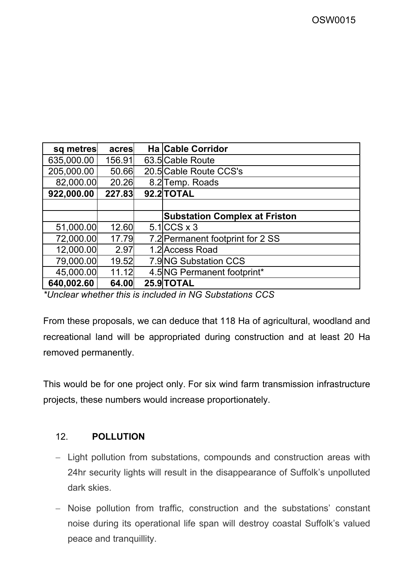| sq metres  | acres  | Ha Cable Corridor                    |
|------------|--------|--------------------------------------|
| 635,000.00 | 156.91 | 63.5 Cable Route                     |
| 205,000.00 | 50.66  | 20.5 Cable Route CCS's               |
| 82,000.00  | 20.26  | 8.2 Temp. Roads                      |
| 922,000.00 | 227.83 | 92.2 TOTAL                           |
|            |        |                                      |
|            |        | <b>Substation Complex at Friston</b> |
| 51,000.00  | 12.60  | $5.1$ CCS $\times$ 3                 |
| 72,000.00  | 17.79  | 7.2 Permanent footprint for 2 SS     |
| 12,000.00  | 2.97   | 1.2 Access Road                      |
| 79,000.00  | 19.52  | 7.9 NG Substation CCS                |
| 45,000.00  | 11.12  | 4.5 NG Permanent footprint*          |
| 640,002.60 | 64.00  | 25.9 TOTAL                           |

*\*Unclear whether this is included in NG Substations CCS*

From these proposals, we can deduce that 118 Ha of agricultural, woodland and recreational land will be appropriated during construction and at least 20 Ha removed permanently.

This would be for one project only. For six wind farm transmission infrastructure projects, these numbers would increase proportionately.

#### 12. **POLLUTION**

- Light pollution from substations, compounds and construction areas with 24hr security lights will result in the disappearance of Suffolk's unpolluted dark skies.
- Noise pollution from traffic, construction and the substations' constant noise during its operational life span will destroy coastal Suffolk's valued peace and tranquillity.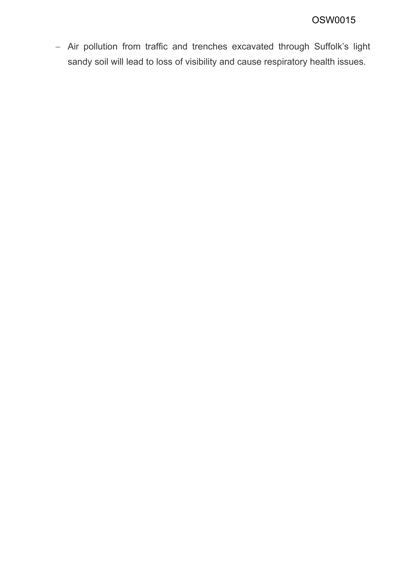- Air pollution from traffic and trenches excavated through Suffolk's light sandy soil will lead to loss of visibility and cause respiratory health issues.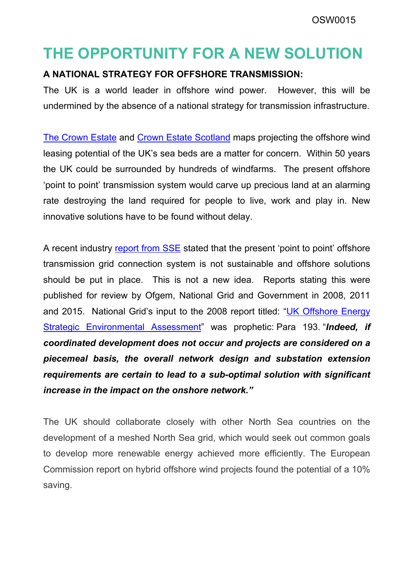## **THE OPPORTUNITY FOR A NEW SOLUTION**

#### **A NATIONAL STRATEGY FOR OFFSHORE TRANSMISSION:**

The UK is a world leader in offshore wind power. However, this will be undermined by the absence of a national strategy for transmission infrastructure.

[The](https://www.thecrownestate.co.uk/en-gb/media-and-insights/news/2018-the-crown-estate-shares-further-detail-on-plans-for-round-4-including-proposed-locations-to-be-offered-for-new-seabed-rights/) [Crown](https://www.thecrownestate.co.uk/en-gb/media-and-insights/news/2018-the-crown-estate-shares-further-detail-on-plans-for-round-4-including-proposed-locations-to-be-offered-for-new-seabed-rights/) [Estate](https://www.thecrownestate.co.uk/en-gb/media-and-insights/news/2018-the-crown-estate-shares-further-detail-on-plans-for-round-4-including-proposed-locations-to-be-offered-for-new-seabed-rights/) and [Crown](https://www.crownestatescotland.com/what-we-do/map) [Estate](https://www.crownestatescotland.com/what-we-do/map) [Scotland](https://www.crownestatescotland.com/what-we-do/map) maps projecting the offshore wind leasing potential of the UK's sea beds are a matter for concern. Within 50 years the UK could be surrounded by hundreds of windfarms. The present offshore 'point to point' transmission system would carve up precious land at an alarming rate destroying the land required for people to live, work and play in. New innovative solutions have to be found without delay.

A recent industry [report](https://sse.com/media/669511/Delivering-40GW-of-offshore-wind-by-2030.pdf) [from](https://sse.com/media/669511/Delivering-40GW-of-offshore-wind-by-2030.pdf) [SSE](https://sse.com/media/669511/Delivering-40GW-of-offshore-wind-by-2030.pdf) stated that the present 'point to point' offshore transmission grid connection system is not sustainable and offshore solutions should be put in place. This is not a new idea. Reports stating this were published for review by Ofgem, National Grid and Government in 2008, 2011 and 2015. National Grid's input to the 2008 report titled: ["UK](https://assets.publishing.service.gov.uk/government/uploads/system/uploads/attachment_data/file/196493/OES_NatGrid_OnshoreETS.pdf) [Offshore](https://assets.publishing.service.gov.uk/government/uploads/system/uploads/attachment_data/file/196493/OES_NatGrid_OnshoreETS.pdf) [Energy](https://assets.publishing.service.gov.uk/government/uploads/system/uploads/attachment_data/file/196493/OES_NatGrid_OnshoreETS.pdf) [Strategic](https://assets.publishing.service.gov.uk/government/uploads/system/uploads/attachment_data/file/196493/OES_NatGrid_OnshoreETS.pdf) [Environmental](https://assets.publishing.service.gov.uk/government/uploads/system/uploads/attachment_data/file/196493/OES_NatGrid_OnshoreETS.pdf) [Assessment](https://assets.publishing.service.gov.uk/government/uploads/system/uploads/attachment_data/file/196493/OES_NatGrid_OnshoreETS.pdf)" was prophetic: Para 193. "*Indeed, if coordinated development does not occur and projects are considered on a piecemeal basis, the overall network design and substation extension requirements are certain to lead to a sub-optimal solution with significant increase in the impact on the onshore network."*

The UK should collaborate closely with other North Sea countries on the development of a meshed North Sea grid, which would seek out common goals to develop more renewable energy achieved more efficiently. The European Commission report on hybrid offshore wind projects found the potential of a 10% saving.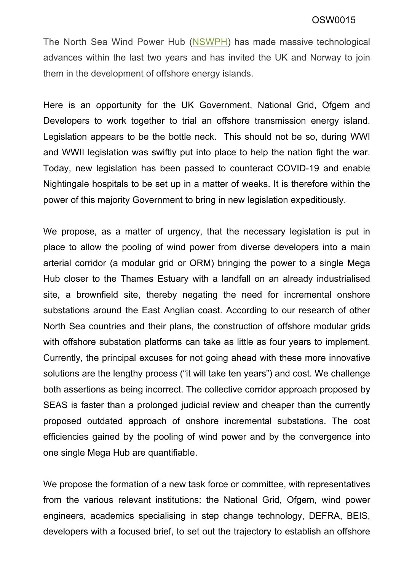The North Sea Wind Power Hub (NSWPH) has made massive technological advances within the last two years and has invited the UK and Norway to join them in the development of offshore energy islands.

Here is an opportunity for the UK Government, National Grid, Ofgem and Developers to work together to trial an offshore transmission energy island. Legislation appears to be the bottle neck. This should not be so, during WWI and WWII legislation was swiftly put into place to help the nation fight the war. Today, new legislation has been passed to counteract COVID-19 and enable Nightingale hospitals to be set up in a matter of weeks. It is therefore within the power of this majority Government to bring in new legislation expeditiously.

We propose, as a matter of urgency, that the necessary legislation is put in place to allow the pooling of wind power from diverse developers into a main arterial corridor (a modular grid or ORM) bringing the power to a single Mega Hub closer to the Thames Estuary with a landfall on an already industrialised site, a brownfield site, thereby negating the need for incremental onshore substations around the East Anglian coast. According to our research of other North Sea countries and their plans, the construction of offshore modular grids with offshore substation platforms can take as little as four years to implement. Currently, the principal excuses for not going ahead with these more innovative solutions are the lengthy process ("it will take ten years") and cost. We challenge both assertions as being incorrect. The collective corridor approach proposed by SEAS is faster than a prolonged judicial review and cheaper than the currently proposed outdated approach of onshore incremental substations. The cost efficiencies gained by the pooling of wind power and by the convergence into one single Mega Hub are quantifiable.

We propose the formation of a new task force or committee, with representatives from the various relevant institutions: the National Grid, Ofgem, wind power engineers, academics specialising in step change technology, DEFRA, BEIS, developers with a focused brief, to set out the trajectory to establish an offshore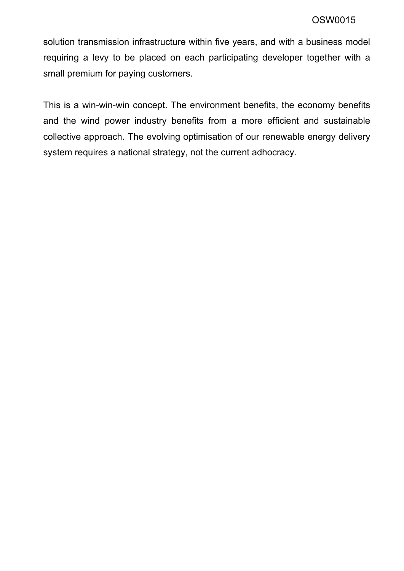solution transmission infrastructure within five years, and with a business model requiring a levy to be placed on each participating developer together with a small premium for paying customers.

This is a win-win-win concept. The environment benefits, the economy benefits and the wind power industry benefits from a more efficient and sustainable collective approach. The evolving optimisation of our renewable energy delivery system requires a national strategy, not the current adhocracy.